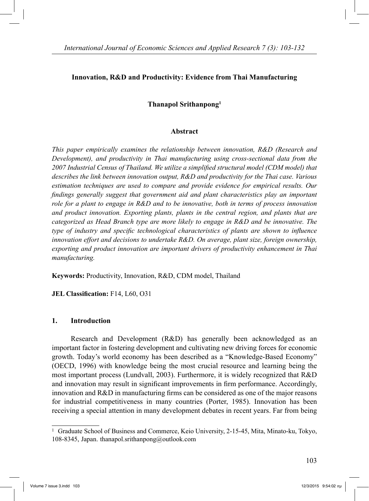# **Innovation, R&D and Productivity: Evidence from Thai Manufacturing**

# **Thanapol Srithanpong1**

#### **Abstract**

*This paper empirically examines the relationship between innovation, R&D (Research and Development), and productivity in Thai manufacturing using cross-sectional data from the 2007 Industrial Census of Thailand. We utilize a simplified structural model (CDM model) that describes the link between innovation output, R&D and productivity for the Thai case. Various estimation techniques are used to compare and provide evidence for empirical results. Our findings generally suggest that government aid and plant characteristics play an important role for a plant to engage in R&D and to be innovative, both in terms of process innovation and product innovation. Exporting plants, plants in the central region, and plants that are categorized as Head Branch type are more likely to engage in R&D and be innovative. The type of industry and specific technological characteristics of plants are shown to influence innovation effort and decisions to undertake R&D. On average, plant size, foreign ownership, exporting and product innovation are important drivers of productivity enhancement in Thai manufacturing.* 

**Keywords:** Productivity, Innovation, R&D, CDM model, Thailand

**JEL Classification:** F14, L60, O31

## **1. Introduction**

 Research and Development (R&D) has generally been acknowledged as an important factor in fostering development and cultivating new driving forces for economic growth. Today's world economy has been described as a "Knowledge-Based Economy" (OECD, 1996) with knowledge being the most crucial resource and learning being the most important process (Lundvall, 2003). Furthermore, it is widely recognized that R&D and innovation may result in significant improvements in firm performance. Accordingly, innovation and R&D in manufacturing firms can be considered as one of the major reasons for industrial competitiveness in many countries (Porter, 1985). Innovation has been receiving a special attention in many development debates in recent years. Far from being

<sup>1</sup> Graduate School of Business and Commerce, Keio University, 2-15-45, Mita, Minato-ku, Tokyo, 108-8345, Japan. thanapol.srithanpong@outlook.com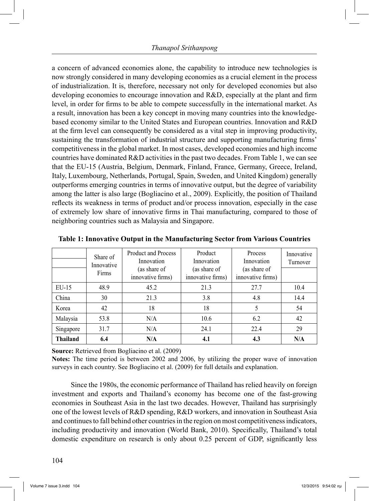a concern of advanced economies alone, the capability to introduce new technologies is now strongly considered in many developing economies as a crucial element in the process of industrialization. It is, therefore, necessary not only for developed economies but also developing economies to encourage innovation and R&D, especially at the plant and firm level, in order for firms to be able to compete successfully in the international market. As a result, innovation has been a key concept in moving many countries into the knowledgebased economy similar to the United States and European countries. Innovation and R&D at the firm level can consequently be considered as a vital step in improving productivity, sustaining the transformation of industrial structure and supporting manufacturing firms' competitiveness in the global market. In most cases, developed economies and high income countries have dominated R&D activities in the past two decades. From Table 1, we can see that the EU-15 (Austria, Belgium, Denmark, Finland, France, Germany, Greece, Ireland, Italy, Luxembourg, Netherlands, Portugal, Spain, Sweden, and United Kingdom) generally outperforms emerging countries in terms of innovative output, but the degree of variability among the latter is also large (Bogliacino et al., 2009). Explicitly, the position of Thailand reflects its weakness in terms of product and/or process innovation, especially in the case of extremely low share of innovative firms in Thai manufacturing, compared to those of neighboring countries such as Malaysia and Singapore.

|                 | Share of<br>Innovative<br>Firms | <b>Product and Process</b><br>Innovation<br>(as share of<br>innovative firms) | Product<br>Innovation<br>(as share of<br>innovative firms) | Process<br>Innovation<br>(as share of<br>innovative firms) | Innovative<br>Turnover |
|-----------------|---------------------------------|-------------------------------------------------------------------------------|------------------------------------------------------------|------------------------------------------------------------|------------------------|
| $EU-15$         | 48.9                            | 45.2                                                                          | 21.3                                                       | 27.7                                                       | 10.4                   |
| China           | 30                              | 21.3                                                                          | 3.8                                                        | 4.8                                                        | 14.4                   |
| Korea           | 42                              | 18                                                                            | 18                                                         | 5                                                          | 54                     |
| Malaysia        | 53.8                            | N/A                                                                           | 10.6                                                       | 6.2                                                        | 42                     |
| Singapore       | 31.7                            | N/A                                                                           | 24.1                                                       | 22.4                                                       | 29                     |
| <b>Thailand</b> | 6.4                             | N/A                                                                           | 4.1                                                        | 4.3                                                        | N/A                    |

**Table 1: Innovative Output in the Manufacturing Sector from Various Countries**

**Source:** Retrieved from Bogliacino et al. (2009)

**Notes:** The time period is between 2002 and 2006, by utilizing the proper wave of innovation surveys in each country. See Bogliacino et al. (2009) for full details and explanation.

 Since the 1980s, the economic performance of Thailand has relied heavily on foreign investment and exports and Thailand's economy has become one of the fast-growing economies in Southeast Asia in the last two decades. However, Thailand has surprisingly one of the lowest levels of R&D spending, R&D workers, and innovation in Southeast Asia and continues to fall behind other countries in the region on most competitiveness indicators, including productivity and innovation (World Bank, 2010). Specifically, Thailand's total domestic expenditure on research is only about 0.25 percent of GDP, significantly less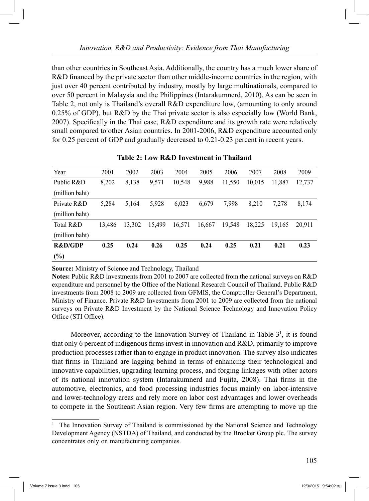than other countries in Southeast Asia. Additionally, the country has a much lower share of R&D financed by the private sector than other middle-income countries in the region, with just over 40 percent contributed by industry, mostly by large multinationals, compared to over 50 percent in Malaysia and the Philippines (Intarakumnerd, 2010). As can be seen in Table 2, not only is Thailand's overall R&D expenditure low, (amounting to only around 0.25% of GDP), but R&D by the Thai private sector is also especially low (World Bank, 2007). Specifically in the Thai case, R&D expenditure and its growth rate were relatively small compared to other Asian countries. In 2001-2006, R&D expenditure accounted only for 0.25 percent of GDP and gradually decreased to 0.21-0.23 percent in recent years.

| Year               | 2001   | 2002   | 2003   | 2004   | 2005   | 2006   | 2007   | 2008   | 2009   |
|--------------------|--------|--------|--------|--------|--------|--------|--------|--------|--------|
| Public R&D         | 8,202  | 8,138  | 9,571  | 10,548 | 9,988  | 11,550 | 10.015 | 11.887 | 12,737 |
| (million baht)     |        |        |        |        |        |        |        |        |        |
| Private R&D        | 5,284  | 5,164  | 5,928  | 6,023  | 6,679  | 7,998  | 8,210  | 7,278  | 8,174  |
| (million baht)     |        |        |        |        |        |        |        |        |        |
| Total R&D          | 13,486 | 13.302 | 15.499 | 16,571 | 16,667 | 19.548 | 18.225 | 19,165 | 20.911 |
| (million baht)     |        |        |        |        |        |        |        |        |        |
| <b>R&amp;D/GDP</b> | 0.25   | 0.24   | 0.26   | 0.25   | 0.24   | 0.25   | 0.21   | 0.21   | 0.23   |
| $(\%)$             |        |        |        |        |        |        |        |        |        |

**Table 2: Low R&D Investment in Thailand**

**Source:** Ministry of Science and Technology, Thailand

**Notes:** Public R&D investments from 2001 to 2007 are collected from the national surveys on R&D expenditure and personnel by the Office of the National Research Council of Thailand. Public R&D investments from 2008 to 2009 are collected from GFMIS, the Comptroller General's Department, Ministry of Finance. Private R&D Investments from 2001 to 2009 are collected from the national surveys on Private R&D Investment by the National Science Technology and Innovation Policy Office (STI Office).

Moreover, according to the Innovation Survey of Thailand in Table  $3<sup>1</sup>$ , it is found that only 6 percent of indigenous firms invest in innovation and R&D, primarily to improve production processes rather than to engage in product innovation. The survey also indicates that firms in Thailand are lagging behind in terms of enhancing their technological and innovative capabilities, upgrading learning process, and forging linkages with other actors of its national innovation system (Intarakumnerd and Fujita, 2008). Thai firms in the automotive, electronics, and food processing industries focus mainly on labor-intensive and lower-technology areas and rely more on labor cost advantages and lower overheads to compete in the Southeast Asian region. Very few firms are attempting to move up the

<sup>&</sup>lt;sup>1</sup> The Innovation Survey of Thailand is commissioned by the National Science and Technology Development Agency (NSTDA) of Thailand, and conducted by the Brooker Group plc. The survey concentrates only on manufacturing companies.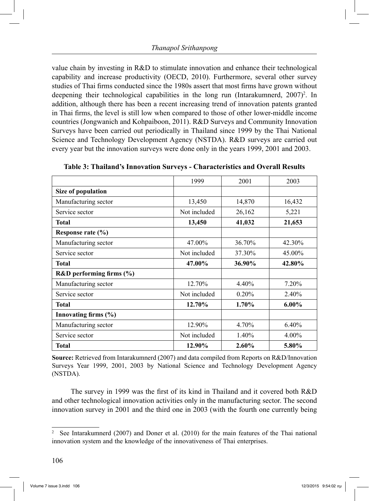value chain by investing in R&D to stimulate innovation and enhance their technological capability and increase productivity (OECD, 2010). Furthermore, several other survey studies of Thai firms conducted since the 1980s assert that most firms have grown without deepening their technological capabilities in the long run (Intarakumnerd, 2007)<sup>2</sup>. In addition, although there has been a recent increasing trend of innovation patents granted in Thai firms, the level is still low when compared to those of other lower-middle income countries (Jongwanich and Kohpaiboon, 2011). R&D Surveys and Community Innovation Surveys have been carried out periodically in Thailand since 1999 by the Thai National Science and Technology Development Agency (NSTDA). R&D surveys are carried out every year but the innovation surveys were done only in the years 1999, 2001 and 2003.

|                              | 1999         | 2001     | 2003     |
|------------------------------|--------------|----------|----------|
| Size of population           |              |          |          |
| Manufacturing sector         | 13,450       | 14,870   | 16,432   |
| Service sector               | Not included | 26,162   | 5,221    |
| <b>Total</b>                 | 13,450       | 41,032   | 21,653   |
| Response rate (%)            |              |          |          |
| Manufacturing sector         | 47.00%       | 36.70%   | 42.30%   |
| Service sector               | Not included | 37.30%   | 45.00%   |
| <b>Total</b>                 | 47.00%       | 36.90%   | 42.80%   |
| R&D performing firms $(\% )$ |              |          |          |
| Manufacturing sector         | 12.70%       | 4.40%    | 7.20%    |
| Service sector               | Not included | 0.20%    | 2.40%    |
| <b>Total</b>                 | 12.70%       | $1.70\%$ | $6.00\%$ |
| Innovating firms $(\% )$     |              |          |          |
| Manufacturing sector         | 12.90%       | 4.70%    | 6.40%    |
| Service sector               | Not included | 1.40%    | $4.00\%$ |
| <b>Total</b>                 | 12.90%       | 2.60%    | 5.80%    |

**Table 3: Thailand's Innovation Surveys - Characteristics and Overall Results**

**Source:** Retrieved from Intarakumnerd (2007) and data compiled from Reports on R&D/Innovation Surveys Year 1999, 2001, 2003 by National Science and Technology Development Agency (NSTDA).

 The survey in 1999 was the first of its kind in Thailand and it covered both R&D and other technological innovation activities only in the manufacturing sector. The second innovation survey in 2001 and the third one in 2003 (with the fourth one currently being

<sup>2</sup> See Intarakumnerd (2007) and Doner et al. (2010) for the main features of the Thai national innovation system and the knowledge of the innovativeness of Thai enterprises.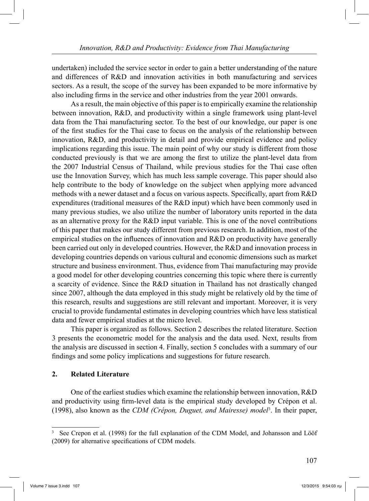undertaken) included the service sector in order to gain a better understanding of the nature and differences of R&D and innovation activities in both manufacturing and services sectors. As a result, the scope of the survey has been expanded to be more informative by also including firms in the service and other industries from the year 2001 onwards.

 As a result, the main objective of this paper is to empirically examine the relationship between innovation, R&D, and productivity within a single framework using plant-level data from the Thai manufacturing sector. To the best of our knowledge, our paper is one of the first studies for the Thai case to focus on the analysis of the relationship between innovation, R&D, and productivity in detail and provide empirical evidence and policy implications regarding this issue. The main point of why our study is different from those conducted previously is that we are among the first to utilize the plant-level data from the 2007 Industrial Census of Thailand, while previous studies for the Thai case often use the Innovation Survey, which has much less sample coverage. This paper should also help contribute to the body of knowledge on the subject when applying more advanced methods with a newer dataset and a focus on various aspects. Specifically, apart from R&D expenditures (traditional measures of the R&D input) which have been commonly used in many previous studies, we also utilize the number of laboratory units reported in the data as an alternative proxy for the R&D input variable. This is one of the novel contributions of this paper that makes our study different from previous research. In addition, most of the empirical studies on the influences of innovation and R&D on productivity have generally been carried out only in developed countries. However, the R&D and innovation process in developing countries depends on various cultural and economic dimensions such as market structure and business environment. Thus, evidence from Thai manufacturing may provide a good model for other developing countries concerning this topic where there is currently a scarcity of evidence. Since the R&D situation in Thailand has not drastically changed since 2007, although the data employed in this study might be relatively old by the time of this research, results and suggestions are still relevant and important. Moreover, it is very crucial to provide fundamental estimates in developing countries which have less statistical data and fewer empirical studies at the micro level.

 This paper is organized as follows. Section 2 describes the related literature. Section 3 presents the econometric model for the analysis and the data used. Next, results from the analysis are discussed in section 4. Finally, section 5 concludes with a summary of our findings and some policy implications and suggestions for future research.

# **2. Related Literature**

 One of the earliest studies which examine the relationship between innovation, R&D and productivity using firm-level data is the empirical study developed by Crépon et al. (1998), also known as the *CDM (Crépon, Duguet, and Mairesse) model*<sup>3</sup>. In their paper,

<sup>3</sup> See Crepon et al. (1998) for the full explanation of the CDM Model, and Johansson and Lööf (2009) for alternative specifications of CDM models.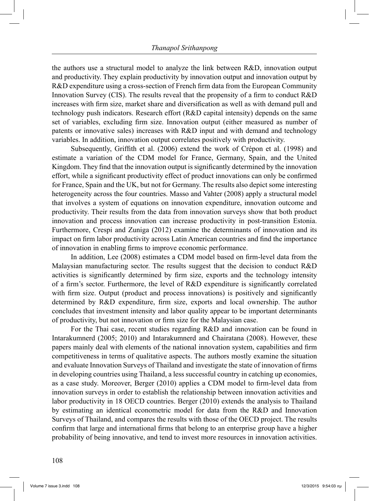the authors use a structural model to analyze the link between R&D, innovation output and productivity. They explain productivity by innovation output and innovation output by R&D expenditure using a cross-section of French firm data from the European Community Innovation Survey (CIS). The results reveal that the propensity of a firm to conduct R&D increases with firm size, market share and diversification as well as with demand pull and technology push indicators. Research effort (R&D capital intensity) depends on the same set of variables, excluding firm size. Innovation output (either measured as number of patents or innovative sales) increases with R&D input and with demand and technology variables. In addition, innovation output correlates positively with productivity.

 Subsequently, Griffith et al. (2006) extend the work of Crépon et al. (1998) and estimate a variation of the CDM model for France, Germany, Spain, and the United Kingdom. They find that the innovation output is significantly determined by the innovation effort, while a significant productivity effect of product innovations can only be confirmed for France, Spain and the UK, but not for Germany. The results also depict some interesting heterogeneity across the four countries. Masso and Vahter (2008) apply a structural model that involves a system of equations on innovation expenditure, innovation outcome and productivity. Their results from the data from innovation surveys show that both product innovation and process innovation can increase productivity in post-transition Estonia. Furthermore, Crespi and Zuniga (2012) examine the determinants of innovation and its impact on firm labor productivity across Latin American countries and find the importance of innovation in enabling firms to improve economic performance.

 In addition, Lee (2008) estimates a CDM model based on firm-level data from the Malaysian manufacturing sector. The results suggest that the decision to conduct R&D activities is significantly determined by firm size, exports and the technology intensity of a firm's sector. Furthermore, the level of R&D expenditure is significantly correlated with firm size. Output (product and process innovations) is positively and significantly determined by R&D expenditure, firm size, exports and local ownership. The author concludes that investment intensity and labor quality appear to be important determinants of productivity, but not innovation or firm size for the Malaysian case.

 For the Thai case, recent studies regarding R&D and innovation can be found in Intarakumnerd (2005; 2010) and Intarakumnerd and Chairatana (2008). However, these papers mainly deal with elements of the national innovation system, capabilities and firm competitiveness in terms of qualitative aspects. The authors mostly examine the situation and evaluate Innovation Surveys of Thailand and investigate the state of innovation of firms in developing countries using Thailand, a less successful country in catching up economies, as a case study. Moreover, Berger (2010) applies a CDM model to firm-level data from innovation surveys in order to establish the relationship between innovation activities and labor productivity in 18 OECD countries. Berger (2010) extends the analysis to Thailand by estimating an identical econometric model for data from the R&D and Innovation Surveys of Thailand, and compares the results with those of the OECD project. The results confirm that large and international firms that belong to an enterprise group have a higher probability of being innovative, and tend to invest more resources in innovation activities.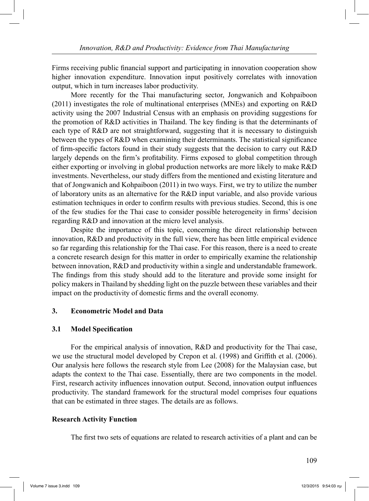Firms receiving public financial support and participating in innovation cooperation show higher innovation expenditure. Innovation input positively correlates with innovation output, which in turn increases labor productivity.

 More recently for the Thai manufacturing sector, Jongwanich and Kohpaiboon (2011) investigates the role of multinational enterprises (MNEs) and exporting on R&D activity using the 2007 Industrial Census with an emphasis on providing suggestions for the promotion of R&D activities in Thailand. The key finding is that the determinants of each type of R&D are not straightforward, suggesting that it is necessary to distinguish between the types of R&D when examining their determinants. The statistical significance of firm-specific factors found in their study suggests that the decision to carry out R&D largely depends on the firm's profitability. Firms exposed to global competition through either exporting or involving in global production networks are more likely to make R&D investments. Nevertheless, our study differs from the mentioned and existing literature and that of Jongwanich and Kohpaiboon (2011) in two ways. First, we try to utilize the number of laboratory units as an alternative for the R&D input variable, and also provide various estimation techniques in order to confirm results with previous studies. Second, this is one of the few studies for the Thai case to consider possible heterogeneity in firms' decision regarding R&D and innovation at the micro level analysis.

 Despite the importance of this topic, concerning the direct relationship between innovation, R&D and productivity in the full view, there has been little empirical evidence so far regarding this relationship for the Thai case. For this reason, there is a need to create a concrete research design for this matter in order to empirically examine the relationship between innovation, R&D and productivity within a single and understandable framework. The findings from this study should add to the literature and provide some insight for policy makers in Thailand by shedding light on the puzzle between these variables and their impact on the productivity of domestic firms and the overall economy.

# **3. Econometric Model and Data**

# **3.1 Model Specification**

 For the empirical analysis of innovation, R&D and productivity for the Thai case, we use the structural model developed by Crepon et al. (1998) and Griffith et al. (2006). Our analysis here follows the research style from Lee (2008) for the Malaysian case, but adapts the context to the Thai case. Essentially, there are two components in the model. First, research activity influences innovation output. Second, innovation output influences productivity. The standard framework for the structural model comprises four equations that can be estimated in three stages. The details are as follows.

# **Research Activity Function**

The first two sets of equations are related to research activities of a plant and can be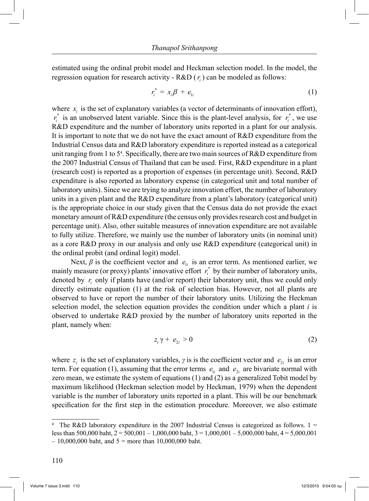estimated using the ordinal probit model and Heckman selection model. In the model, the regression equation for research activity -  $R&D(r_i)$  can be modeled as follows:

$$
r_i^* = x_i \beta + e_{1i} \tag{1}
$$

where  $x_i$  is the set of explanatory variables (a vector of determinants of innovation effort),  $r_i^*$  is an unobserved latent variable. Since this is the plant-level analysis, for  $r_i^*$ , we use R&D expenditure and the number of laboratory units reported in a plant for our analysis. It is important to note that we do not have the exact amount of R&D expenditure from the Industrial Census data and R&D laboratory expenditure is reported instead as a categorical unit ranging from 1 to 5<sup>4</sup>. Specifically, there are two main sources of R&D expenditure from the 2007 Industrial Census of Thailand that can be used. First, R&D expenditure in a plant (research cost) is reported as a proportion of expenses (in percentage unit). Second, R&D expenditure is also reported as laboratory expense (in categorical unit and total number of laboratory units). Since we are trying to analyze innovation effort, the number of laboratory units in a given plant and the R&D expenditure from a plant's laboratory (categorical unit) is the appropriate choice in our study given that the Census data do not provide the exact monetary amount of R&D expenditure (the census only provides research cost and budget in percentage unit). Also, other suitable measures of innovation expenditure are not available to fully utilize. Therefore, we mainly use the number of laboratory units (in nominal unit) as a core R&D proxy in our analysis and only use R&D expenditure (categorical unit) in the ordinal probit (and ordinal logit) model.

Next,  $\beta$  is the coefficient vector and  $e_{i}$  is an error term. As mentioned earlier, we mainly measure (or proxy) plants' innovative effort  $r_i^*$  by their number of laboratory units, denoted by  $r_i$  only if plants have (and/or report) their laboratory unit, thus we could only directly estimate equation (1) at the risk of selection bias. However, not all plants are observed to have or report the number of their laboratory units. Utilizing the Heckman selection model, the selection equation provides the condition under which a plant *i* is observed to undertake R&D proxied by the number of laboratory units reported in the plant, namely when:

$$
z_i \gamma + e_{2i} > 0 \tag{2}
$$

where  $z_i$  is the set of explanatory variables,  $\gamma$  is is the coefficient vector and  $e_{\gamma i}$  is an error term. For equation (1), assuming that the error terms  $e_i$  and  $e_j$  are bivariate normal with zero mean, we estimate the system of equations (1) and (2) as a generalized Tobit model by maximum likelihood (Heckman selection model by Heckman, 1979) when the dependent variable is the number of laboratory units reported in a plant. This will be our benchmark specification for the first step in the estimation procedure. Moreover, we also estimate

<sup>4</sup> The R&D laboratory expenditure in the 2007 Industrial Census is categorized as follows.  $1 =$ less than 500,000 baht,  $2 = 500,001 - 1,000,000$  baht,  $3 = 1,000,001 - 5,000,000$  baht,  $4 = 5,000,001$  $-10,000,000$  baht, and  $5 =$  more than 10,000,000 baht.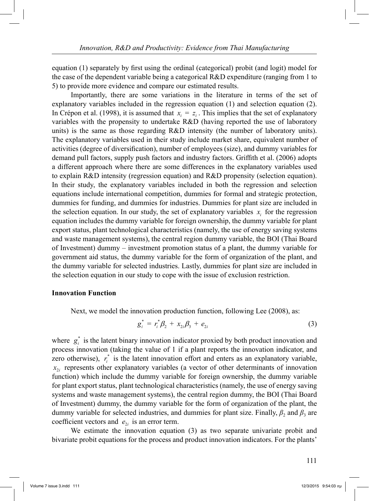equation (1) separately by first using the ordinal (categorical) probit (and logit) model for the case of the dependent variable being a categorical R&D expenditure (ranging from 1 to 5) to provide more evidence and compare our estimated results.

 Importantly, there are some variations in the literature in terms of the set of explanatory variables included in the regression equation (1) and selection equation (2). In Crépon et al. (1998), it is assumed that  $x_i = z_i$ . This implies that the set of explanatory variables with the propensity to undertake R&D (having reported the use of laboratory units) is the same as those regarding R&D intensity (the number of laboratory units). The explanatory variables used in their study include market share, equivalent number of activities (degree of diversification), number of employees (size), and dummy variables for demand pull factors, supply push factors and industry factors. Griffith et al. (2006) adopts a different approach where there are some differences in the explanatory variables used to explain R&D intensity (regression equation) and R&D propensity (selection equation). In their study, the explanatory variables included in both the regression and selection equations include international competition, dummies for formal and strategic protection, dummies for funding, and dummies for industries. Dummies for plant size are included in the selection equation. In our study, the set of explanatory variables  $x_i$  for the regression equation includes the dummy variable for foreign ownership, the dummy variable for plant export status, plant technological characteristics (namely, the use of energy saving systems and waste management systems), the central region dummy variable, the BOI (Thai Board of Investment) dummy – investment promotion status of a plant, the dummy variable for government aid status, the dummy variable for the form of organization of the plant, and the dummy variable for selected industries. Lastly, dummies for plant size are included in the selection equation in our study to cope with the issue of exclusion restriction.

#### **Innovation Function**

Next, we model the innovation production function, following Lee (2008), as:

$$
g_i^* = r_i^* \beta_2 + x_{2i} \beta_3 + e_{2i}
$$
 (3)

where  $g_i^*$  is the latent binary innovation indicator proxied by both product innovation and process innovation (taking the value of 1 if a plant reports the innovation indicator, and zero otherwise),  $r_i^*$  is the latent innovation effort and enters as an explanatory variable,  $x_{2i}$  represents other explanatory variables (a vector of other determinants of innovation function) which include the dummy variable for foreign ownership, the dummy variable for plant export status, plant technological characteristics (namely, the use of energy saving systems and waste management systems), the central region dummy, the BOI (Thai Board of Investment) dummy, the dummy variable for the form of organization of the plant, the dummy variable for selected industries, and dummies for plant size. Finally,  $\beta_2$  and  $\beta_3$  are coefficient vectors and  $e_{\gamma i}$  is an error term.

We estimate the innovation equation (3) as two separate univariate probit and bivariate probit equations for the process and product innovation indicators. For the plants'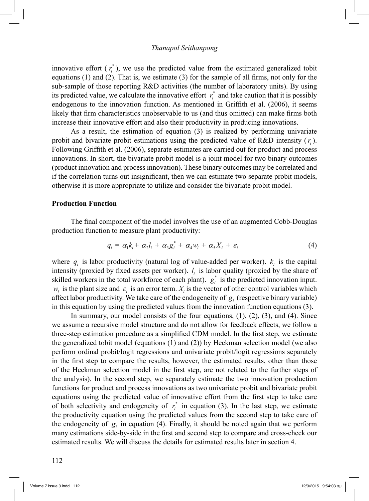innovative effort  $(r_i^*)$ , we use the predicted value from the estimated generalized tobit equations (1) and (2). That is, we estimate (3) for the sample of all firms, not only for the sub-sample of those reporting R&D activities (the number of laboratory units). By using its predicted value, we calculate the innovative effort  $r_i^*$  and take caution that it is possibly endogenous to the innovation function. As mentioned in Griffith et al. (2006), it seems likely that firm characteristics unobservable to us (and thus omitted) can make firms both increase their innovative effort and also their productivity in producing innovations.

 As a result, the estimation of equation (3) is realized by performing univariate probit and bivariate probit estimations using the predicted value of R&D intensity  $(r<sub>i</sub>)$ . Following Griffith et al. (2006), separate estimates are carried out for product and process innovations. In short, the bivariate probit model is a joint model for two binary outcomes (product innovation and process innovation). These binary outcomes may be correlated and if the correlation turns out insignificant, then we can estimate two separate probit models, otherwise it is more appropriate to utilize and consider the bivariate probit model.

#### **Production Function**

 The final component of the model involves the use of an augmented Cobb-Douglas production function to measure plant productivity:

$$
q_i = \alpha_1 k_i + \alpha_2 l_i + \alpha_3 g_i^* + \alpha_4 w_i + \alpha_5 X_i + \varepsilon_i \tag{4}
$$

where  $q_i$  is labor productivity (natural log of value-added per worker).  $k_i$  is the capital intensity (proxied by fixed assets per worker).  $l_i$  is labor quality (proxied by the share of skilled workers in the total workforce of each plant).  $g_i^*$  is the predicted innovation input.  $w_i$  is the plant size and  $\varepsilon_i$  is an error term.  $X_i$  is the vector of other control variables which affect labor productivity. We take care of the endogeneity of  $g_i$  (respective binary variable) in this equation by using the predicted values from the innovation function equations (3).

In summary, our model consists of the four equations,  $(1)$ ,  $(2)$ ,  $(3)$ , and  $(4)$ . Since we assume a recursive model structure and do not allow for feedback effects, we follow a three-step estimation procedure as a simplified CDM model. In the first step, we estimate the generalized tobit model (equations (1) and (2)) by Heckman selection model (we also perform ordinal probit/logit regressions and univariate probit/logit regressions separately in the first step to compare the results, however, the estimated results, other than those of the Heckman selection model in the first step, are not related to the further steps of the analysis). In the second step, we separately estimate the two innovation production functions for product and process innovations as two univariate probit and bivariate probit equations using the predicted value of innovative effort from the first step to take care of both selectivity and endogeneity of  $r_i^*$  in equation (3). In the last step, we estimate the productivity equation using the predicted values from the second step to take care of the endogeneity of  $g_i$  in equation (4). Finally, it should be noted again that we perform many estimations side-by-side in the first and second step to compare and cross-check our estimated results. We will discuss the details for estimated results later in section 4.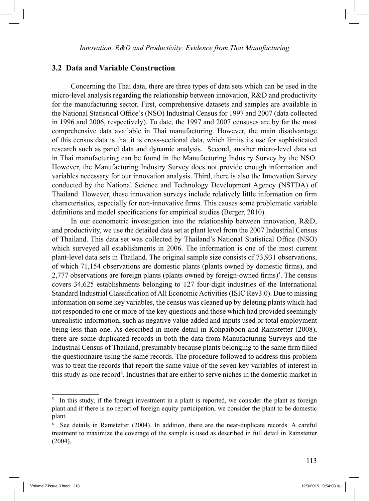# **3.2 Data and Variable Construction**

 Concerning the Thai data, there are three types of data sets which can be used in the micro-level analysis regarding the relationship between innovation, R&D and productivity for the manufacturing sector. First, comprehensive datasets and samples are available in the National Statistical Office's (NSO) Industrial Census for 1997 and 2007 (data collected in 1996 and 2006, respectively). To date, the 1997 and 2007 censuses are by far the most comprehensive data available in Thai manufacturing. However, the main disadvantage of this census data is that it is cross-sectional data, which limits its use for sophisticated research such as panel data and dynamic analysis. Second, another micro-level data set in Thai manufacturing can be found in the Manufacturing Industry Survey by the NSO. However, the Manufacturing Industry Survey does not provide enough information and variables necessary for our innovation analysis. Third, there is also the Innovation Survey conducted by the National Science and Technology Development Agency (NSTDA) of Thailand. However, these innovation surveys include relatively little information on firm characteristics, especially for non-innovative firms. This causes some problematic variable definitions and model specifications for empirical studies (Berger, 2010).

In our econometric investigation into the relationship between innovation, R&D, and productivity, we use the detailed data set at plant level from the 2007 Industrial Census of Thailand. This data set was collected by Thailand's National Statistical Office (NSO) which surveyed all establishments in 2006. The information is one of the most current plant-level data sets in Thailand. The original sample size consists of 73,931 observations, of which 71,154 observations are domestic plants (plants owned by domestic firms), and  $2,777$  observations are foreign plants (plants owned by foreign-owned firms)<sup>5</sup>. The census covers 34,625 establishments belonging to 127 four-digit industries of the International Standard Industrial Classification of All Economic Activities (ISIC Rev3.0). Due to missing information on some key variables, the census was cleaned up by deleting plants which had not responded to one or more of the key questions and those which had provided seemingly unrealistic information, such as negative value added and inputs used or total employment being less than one. As described in more detail in Kohpaiboon and Ramstetter (2008), there are some duplicated records in both the data from Manufacturing Surveys and the Industrial Census of Thailand, presumably because plants belonging to the same firm filled the questionnaire using the same records. The procedure followed to address this problem was to treat the records that report the same value of the seven key variables of interest in this study as one record<sup>6</sup>. Industries that are either to serve niches in the domestic market in

<sup>5</sup> In this study, if the foreign investment in a plant is reported, we consider the plant as foreign plant and if there is no report of foreign equity participation, we consider the plant to be domestic plant.

<sup>6</sup> See details in Ramstetter (2004). In addition, there are the near-duplicate records. A careful treatment to maximize the coverage of the sample is used as described in full detail in Ramstetter (2004).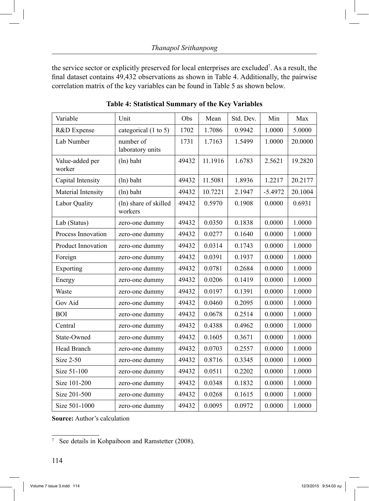the service sector or explicitly preserved for local enterprises are excluded7 . As a result, the final dataset contains 49,432 observations as shown in Table 4. Additionally, the pairwise correlation matrix of the key variables can be found in Table 5 as shown below.

| Variable                  | Unit                             | Obs   | Mean    | Std. Dev. | Min       | Max     |
|---------------------------|----------------------------------|-------|---------|-----------|-----------|---------|
| R&D Expense               | categorical (1 to 5)             | 1702  | 1.7086  | 0.9942    | 1.0000    | 5.0000  |
| Lab Number                | number of<br>laboratory units    | 1731  | 1.7163  | 1.5499    | 1.0000    | 20.0000 |
| Value-added per<br>worker | (ln) baht                        | 49432 | 11.1916 | 1.6783    | 2.5621    | 19.2820 |
| Capital Intensity         | (ln) baht                        | 49432 | 11.5081 | 1.8936    | 1.2217    | 20.2177 |
| Material Intensity        | (ln) baht                        | 49432 | 10.7221 | 2.1947    | $-5.4972$ | 20.1004 |
| Labor Quality             | (ln) share of skilled<br>workers | 49432 | 0.5970  | 0.1908    | 0.0000    | 0.6931  |
| Lab (Status)              | zero-one dummy                   | 49432 | 0.0350  | 0.1838    | 0.0000    | 1.0000  |
| Process Innovation        | zero-one dummy                   | 49432 | 0.0277  | 0.1640    | 0.0000    | 1.0000  |
| Product Innovation        | zero-one dummy                   | 49432 | 0.0314  | 0.1743    | 0.0000    | 1.0000  |
| Foreign                   | zero-one dummy                   | 49432 | 0.0391  | 0.1937    | 0.0000    | 1.0000  |
| Exporting                 | zero-one dummy                   | 49432 | 0.0781  | 0.2684    | 0.0000    | 1.0000  |
| Energy                    | zero-one dummy                   | 49432 | 0.0206  | 0.1419    | 0.0000    | 1.0000  |
| Waste                     | zero-one dummy                   | 49432 | 0.0197  | 0.1391    | 0.0000    | 1.0000  |
| Gov Aid                   | zero-one dummy                   | 49432 | 0.0460  | 0.2095    | 0.0000    | 1.0000  |
| <b>BOI</b>                | zero-one dummy                   | 49432 | 0.0678  | 0.2514    | 0.0000    | 1.0000  |
| Central                   | zero-one dummy                   | 49432 | 0.4388  | 0.4962    | 0.0000    | 1.0000  |
| State-Owned               | zero-one dummy                   | 49432 | 0.1605  | 0.3671    | 0.0000    | 1.0000  |
| Head Branch               | zero-one dummy                   | 49432 | 0.0703  | 0.2557    | 0.0000    | 1.0000  |
| <b>Size 2-50</b>          | zero-one dummy                   | 49432 | 0.8716  | 0.3345    | 0.0000    | 1.0000  |
| Size 51-100               | zero-one dummy                   | 49432 | 0.0511  | 0.2202    | 0.0000    | 1.0000  |
| Size 101-200              | zero-one dummy                   | 49432 | 0.0348  | 0.1832    | 0.0000    | 1.0000  |
| Size 201-500              | zero-one dummy                   | 49432 | 0.0268  | 0.1615    | 0.0000    | 1.0000  |
| Size 501-1000             | zero-one dummy                   | 49432 | 0.0095  | 0.0972    | 0.0000    | 1.0000  |

**Table 4: Statistical Summary of the Key Variables**

**Source:** Author's calculation

<sup>7</sup> See details in Kohpaiboon and Ramstetter (2008).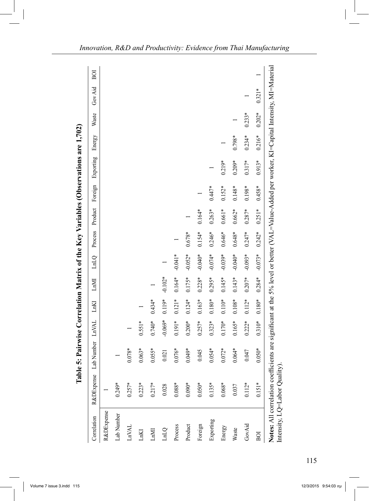| Correlation                        | R&DExpense | Lab Number                                                                                                                                   | <b>LnVAL</b> | ${\rm Ln} {\rm Kl}$ | LMI       | LnLQ      | Process  | Product  | Foreign  | Exporting | Energy   | Waste    | Gov Aid  | BOI |
|------------------------------------|------------|----------------------------------------------------------------------------------------------------------------------------------------------|--------------|---------------------|-----------|-----------|----------|----------|----------|-----------|----------|----------|----------|-----|
| R&DExpense                         |            |                                                                                                                                              |              |                     |           |           |          |          |          |           |          |          |          |     |
| Lab Number                         | $0.249*$   |                                                                                                                                              |              |                     |           |           |          |          |          |           |          |          |          |     |
| LnVAL                              | $0.257*$   | $0.078*$                                                                                                                                     |              |                     |           |           |          |          |          |           |          |          |          |     |
| LnKI                               | $0.223*$   | $0.063*$                                                                                                                                     | $0.551*$     |                     |           |           |          |          |          |           |          |          |          |     |
| <b>IMNI</b>                        | $0.217*$   | $0.055*$                                                                                                                                     | $0.740*$     | $0.434*$            |           |           |          |          |          |           |          |          |          |     |
| <b>LnLQ</b>                        | 0.028      | 0.021                                                                                                                                        | $-0.069*$    | $0.119*$            | $-0.102*$ |           |          |          |          |           |          |          |          |     |
| Process                            | $0.088*$   | $0.076*$                                                                                                                                     | $0.191*$     | $0.121*$            | $0.164*$  | $-0.041*$ |          |          |          |           |          |          |          |     |
| Product                            | $0.090*$   | $0.049*$                                                                                                                                     | $0.200*$     | $0.124*$            | $0.175*$  | $-0.052*$ | $0.678*$ |          |          |           |          |          |          |     |
| Foreign                            | $0.050*$   | 0.045                                                                                                                                        | $0.257*$     | $0.163*$            | $0.228*$  | $-0.040*$ | $0.154*$ | $0.164*$ |          |           |          |          |          |     |
| Exporting                          | $0.135*$   | $0.054*$                                                                                                                                     | $0.323*$     | $0.180*$            | $0.295*$  | $-0.074*$ | $0.246*$ | $0.263*$ | $0.447*$ |           |          |          |          |     |
| Energy                             | $0.068*$   | $0.072*$                                                                                                                                     | $0.170*$     | $0.110*$            | $0.145*$  | $-0.039*$ | $0.646*$ | $0.661*$ | $0.152*$ | $0.219*$  |          |          |          |     |
| Waste                              | 0.037      | $0.064*$                                                                                                                                     | $0.165*$     | $0.108*$            | $0.143*$  | $-0.040*$ | $0.648*$ | $0.662*$ | $0.148*$ | $0.209*$  | $0.798*$ |          |          |     |
| GovAid                             | $0.112*$   | 0.047                                                                                                                                        | $0.222*$     | $0.112*$            | $0.207*$  | $-0.093*$ | $0.247*$ | $0.287*$ | $0.198*$ | $0.317*$  | $0.234*$ | $0.233*$ |          |     |
| BOI                                | $0.151*$   | $0.050*$                                                                                                                                     | $0.310*$     | $0.180*$            | $0.284*$  | $-0.073*$ | $0.242*$ | $0.251*$ | $0.458*$ | $0.913*$  | $0.216*$ | $0.202*$ | $0.321*$ |     |
| Intensity, $LQ = L$ abor Quality). |            | Notes: All correlation coefficients are significant at the 5% level or better (VAL=Value-Added per worker, KI=Capital Intensity, MI=Naterial |              |                     |           |           |          |          |          |           |          |          |          |     |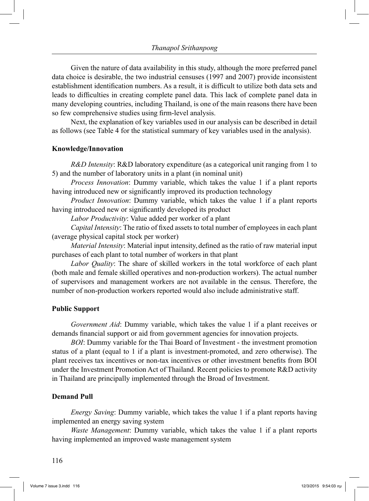Given the nature of data availability in this study, although the more preferred panel data choice is desirable, the two industrial censuses (1997 and 2007) provide inconsistent establishment identification numbers. As a result, it is difficult to utilize both data sets and leads to difficulties in creating complete panel data. This lack of complete panel data in many developing countries, including Thailand, is one of the main reasons there have been so few comprehensive studies using firm-level analysis.

 Next, the explanation of key variables used in our analysis can be described in detail as follows (see Table 4 for the statistical summary of key variables used in the analysis).

#### **Knowledge/Innovation**

 *R&D Intensity*: R&D laboratory expenditure (as a categorical unit ranging from 1 to 5) and the number of laboratory units in a plant (in nominal unit)

 *Process Innovation*: Dummy variable, which takes the value 1 if a plant reports having introduced new or significantly improved its production technology

 *Product Innovation*: Dummy variable, which takes the value 1 if a plant reports having introduced new or significantly developed its product

 *Labor Productivity*: Value added per worker of a plant

 *Capital Intensity*: The ratio of fixed assets to total number of employees in each plant (average physical capital stock per worker)

 *Material Intensity*: Material input intensity, defined as the ratio of raw material input purchases of each plant to total number of workers in that plant

 *Labor Quality*: The share of skilled workers in the total workforce of each plant (both male and female skilled operatives and non-production workers). The actual number of supervisors and management workers are not available in the census. Therefore, the number of non-production workers reported would also include administrative staff.

## **Public Support**

 *Government Aid*: Dummy variable, which takes the value 1 if a plant receives or demands financial support or aid from government agencies for innovation projects.

 *BOI*: Dummy variable for the Thai Board of Investment - the investment promotion status of a plant (equal to 1 if a plant is investment-promoted, and zero otherwise). The plant receives tax incentives or non-tax incentives or other investment benefits from BOI under the Investment Promotion Act of Thailand. Recent policies to promote R&D activity in Thailand are principally implemented through the Broad of Investment.

## **Demand Pull**

 *Energy Saving*: Dummy variable, which takes the value 1 if a plant reports having implemented an energy saving system

*Waste Management*: Dummy variable, which takes the value 1 if a plant reports having implemented an improved waste management system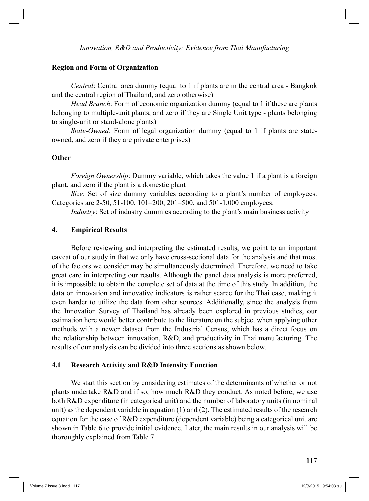## **Region and Form of Organization**

 *Central*: Central area dummy (equal to 1 if plants are in the central area - Bangkok and the central region of Thailand, and zero otherwise)

*Head Branch*: Form of economic organization dummy (equal to 1 if these are plants belonging to multiple-unit plants, and zero if they are Single Unit type - plants belonging to single-unit or stand-alone plants)

*State-Owned*: Form of legal organization dummy (equal to 1 if plants are stateowned, and zero if they are private enterprises)

# **Other**

 *Foreign Ownership*: Dummy variable, which takes the value 1 if a plant is a foreign plant, and zero if the plant is a domestic plant

*Size*: Set of size dummy variables according to a plant's number of employees. Categories are 2-50, 51-100, 101–200, 201–500, and 501-1,000 employees.

 *Industry*: Set of industry dummies according to the plant's main business activity

# **4. Empirical Results**

 Before reviewing and interpreting the estimated results, we point to an important caveat of our study in that we only have cross-sectional data for the analysis and that most of the factors we consider may be simultaneously determined. Therefore, we need to take great care in interpreting our results. Although the panel data analysis is more preferred, it is impossible to obtain the complete set of data at the time of this study. In addition, the data on innovation and innovative indicators is rather scarce for the Thai case, making it even harder to utilize the data from other sources. Additionally, since the analysis from the Innovation Survey of Thailand has already been explored in previous studies, our estimation here would better contribute to the literature on the subject when applying other methods with a newer dataset from the Industrial Census, which has a direct focus on the relationship between innovation, R&D, and productivity in Thai manufacturing. The results of our analysis can be divided into three sections as shown below.

# **4.1 Research Activity and R&D Intensity Function**

 We start this section by considering estimates of the determinants of whether or not plants undertake R&D and if so, how much R&D they conduct. As noted before, we use both R&D expenditure (in categorical unit) and the number of laboratory units (in nominal unit) as the dependent variable in equation (1) and (2). The estimated results of the research equation for the case of R&D expenditure (dependent variable) being a categorical unit are shown in Table 6 to provide initial evidence. Later, the main results in our analysis will be thoroughly explained from Table 7.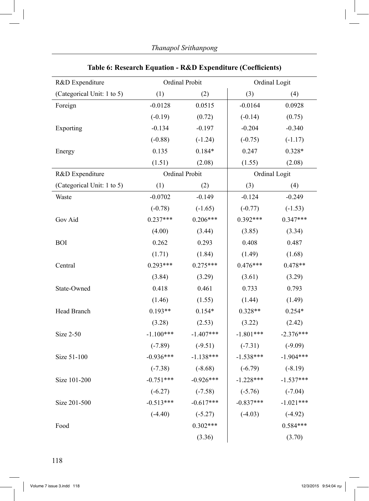| R&D Expenditure            | Ordinal Probit |                |             | Ordinal Logit |
|----------------------------|----------------|----------------|-------------|---------------|
| (Categorical Unit: 1 to 5) | (1)            | (2)            | (3)         | (4)           |
| Foreign                    | $-0.0128$      | 0.0515         | $-0.0164$   | 0.0928        |
|                            | $(-0.19)$      | (0.72)         | $(-0.14)$   | (0.75)        |
| Exporting                  | $-0.134$       | $-0.197$       | $-0.204$    | $-0.340$      |
|                            | $(-0.88)$      | $(-1.24)$      | $(-0.75)$   | $(-1.17)$     |
| Energy                     | 0.135          | $0.184*$       | 0.247       | $0.328*$      |
|                            | (1.51)         | (2.08)         | (1.55)      | (2.08)        |
| R&D Expenditure            |                | Ordinal Probit |             | Ordinal Logit |
| (Categorical Unit: 1 to 5) | (1)            | (2)            | (3)         | (4)           |
| Waste                      | $-0.0702$      | $-0.149$       | $-0.124$    | $-0.249$      |
|                            | $(-0.78)$      | $(-1.65)$      | $(-0.77)$   | $(-1.53)$     |
| Gov Aid                    | $0.237***$     | $0.206***$     | $0.392***$  | $0.347***$    |
|                            | (4.00)         | (3.44)         | (3.85)      | (3.34)        |
| <b>BOI</b>                 | 0.262          | 0.293          | 0.408       | 0.487         |
|                            | (1.71)         | (1.84)         | (1.49)      | (1.68)        |
| Central                    | $0.293***$     | $0.275***$     | $0.476***$  | $0.478**$     |
|                            | (3.84)         | (3.29)         | (3.61)      | (3.29)        |
| State-Owned                | 0.418          | 0.461          | 0.733       | 0.793         |
|                            | (1.46)         | (1.55)         | (1.44)      | (1.49)        |
| Head Branch                | $0.193**$      | $0.154*$       | $0.328**$   | $0.254*$      |
|                            | (3.28)         | (2.53)         | (3.22)      | (2.42)        |
| Size 2-50                  | $-1.100***$    | $-1.407***$    | $-1.801***$ | $-2.376***$   |
|                            | $(-7.89)$      | $(-9.51)$      | $(-7.31)$   | $(-9.09)$     |
| Size 51-100                | $-0.936***$    | $-1.138***$    | $-1.538***$ | $-1.904***$   |
|                            | $(-7.38)$      | $(-8.68)$      | $(-6.79)$   | $(-8.19)$     |
| Size 101-200               | $-0.751***$    | $-0.926***$    | $-1.228***$ | $-1.537***$   |
|                            | $(-6.27)$      | $(-7.58)$      | $(-5.76)$   | $(-7.04)$     |
| Size 201-500               | $-0.513***$    | $-0.617***$    | $-0.837***$ | $-1.021***$   |
|                            | $(-4.40)$      | $(-5.27)$      | $(-4.03)$   | $(-4.92)$     |
| Food                       |                | $0.302***$     |             | $0.584***$    |
|                            |                | (3.36)         |             | (3.70)        |

# **Table 6: Research Equation - R&D Expenditure (Coefficients)**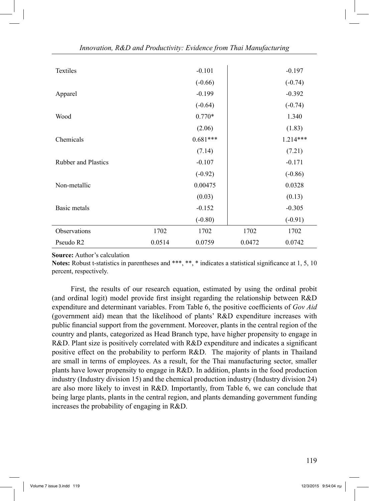| Textiles                   |        | $-0.101$   |        | $-0.197$   |
|----------------------------|--------|------------|--------|------------|
|                            |        | $(-0.66)$  |        | $(-0.74)$  |
| Apparel                    |        | $-0.199$   |        | $-0.392$   |
|                            |        | $(-0.64)$  |        | $(-0.74)$  |
| Wood                       |        | $0.770*$   |        | 1.340      |
|                            |        | (2.06)     |        | (1.83)     |
| Chemicals                  |        | $0.681***$ |        | $1.214***$ |
|                            |        | (7.14)     |        | (7.21)     |
| <b>Rubber and Plastics</b> |        | $-0.107$   |        | $-0.171$   |
|                            |        | $(-0.92)$  |        | $(-0.86)$  |
| Non-metallic               |        | 0.00475    |        | 0.0328     |
|                            |        | (0.03)     |        | (0.13)     |
| Basic metals               |        | $-0.152$   |        | $-0.305$   |
|                            |        | $(-0.80)$  |        | $(-0.91)$  |
| Observations               | 1702   | 1702       | 1702   | 1702       |
| Pseudo R2                  | 0.0514 | 0.0759     | 0.0472 | 0.0742     |

**Source:** Author's calculation

**Notes:** Robust t-statistics in parentheses and \*\*\*, \*\*, \* indicates a statistical significance at 1, 5, 10 percent, respectively.

 First, the results of our research equation, estimated by using the ordinal probit (and ordinal logit) model provide first insight regarding the relationship between R&D expenditure and determinant variables. From Table 6, the positive coefficients of *Gov Aid* (government aid) mean that the likelihood of plants' R&D expenditure increases with public financial support from the government. Moreover, plants in the central region of the country and plants, categorized as Head Branch type, have higher propensity to engage in R&D. Plant size is positively correlated with R&D expenditure and indicates a significant positive effect on the probability to perform R&D. The majority of plants in Thailand are small in terms of employees. As a result, for the Thai manufacturing sector, smaller plants have lower propensity to engage in  $R&D$ . In addition, plants in the food production industry (Industry division 15) and the chemical production industry (Industry division 24) are also more likely to invest in R&D. Importantly, from Table 6, we can conclude that being large plants, plants in the central region, and plants demanding government funding increases the probability of engaging in R&D.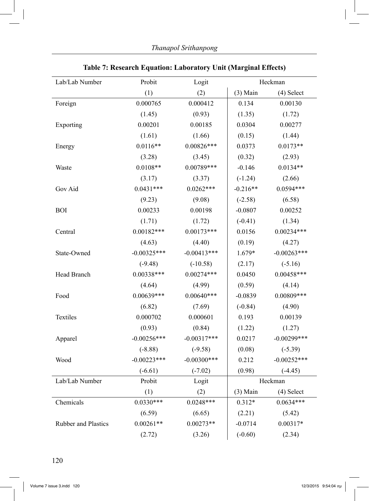| Lab/Lab Number      | Probit         | Logit          |            | Heckman        |
|---------------------|----------------|----------------|------------|----------------|
|                     | (1)            | (2)            | $(3)$ Main | (4) Select     |
| Foreign             | 0.000765       | 0.000412       | 0.134      | 0.00130        |
|                     | (1.45)         | (0.93)         | (1.35)     | (1.72)         |
| Exporting           | 0.00201        | 0.00185        | 0.0304     | 0.00277        |
|                     | (1.61)         | (1.66)         | (0.15)     | (1.44)         |
| Energy              | $0.0116**$     | $0.00826***$   | 0.0373     | $0.0173**$     |
|                     | (3.28)         | (3.45)         | (0.32)     | (2.93)         |
| Waste               | $0.0108**$     | $0.00789***$   | $-0.146$   | $0.0134**$     |
|                     | (3.17)         | (3.37)         | $(-1.24)$  | (2.66)         |
| Gov Aid             | $0.0431***$    | $0.0262***$    | $-0.216**$ | $0.0594***$    |
|                     | (9.23)         | (9.08)         | $(-2.58)$  | (6.58)         |
| <b>BOI</b>          | 0.00233        | 0.00198        | $-0.0807$  | 0.00252        |
|                     | (1.71)         | (1.72)         | $(-0.41)$  | (1.34)         |
| Central             | $0.00182***$   | $0.00173***$   | 0.0156     | $0.00234***$   |
|                     | (4.63)         | (4.40)         | (0.19)     | (4.27)         |
| State-Owned         | $-0.00325***$  | $-0.00413***$  | 1.679*     | $-0.00263***$  |
|                     | $(-9.48)$      | $(-10.58)$     | (2.17)     | $(-5.16)$      |
| Head Branch         | $0.00338***$   | $0.00274***$   | 0.0450     | $0.00458***$   |
|                     | (4.64)         | (4.99)         | (0.59)     | (4.14)         |
| Food                | $0.00639***$   | $0.00640***$   | $-0.0839$  | $0.00809***$   |
|                     | (6.82)         | (7.69)         | $(-0.84)$  | (4.90)         |
| Textiles            | 0.000702       | 0.000601       | 0.193      | 0.00139        |
|                     | (0.93)         | (0.84)         | (1.22)     | (1.27)         |
| Apparel             | $-0.00256***$  | $-0.00317***$  | 0.0217     | $-0.00299$ *** |
|                     | $(-8.88)$      | $(-9.58)$      | (0.08)     | $(-5.39)$      |
| Wood                | $-0.00223$ *** | $-0.00300$ *** | 0.212      | $-0.00252***$  |
|                     | $(-6.61)$      | $(-7.02)$      | (0.98)     | $(-4.45)$      |
| Lab/Lab Number      | Probit         | Logit          |            | Heckman        |
|                     | (1)            | (2)            | $(3)$ Main | (4) Select     |
| Chemicals           | $0.0330***$    | $0.0248***$    | $0.312*$   | $0.0634***$    |
|                     | (6.59)         | (6.65)         | (2.21)     | (5.42)         |
| Rubber and Plastics | $0.00261**$    | $0.00273**$    | $-0.0714$  | $0.00317*$     |
|                     | (2.72)         | (3.26)         | $(-0.60)$  | (2.34)         |

# **Table 7: Research Equation: Laboratory Unit (Marginal Effects)**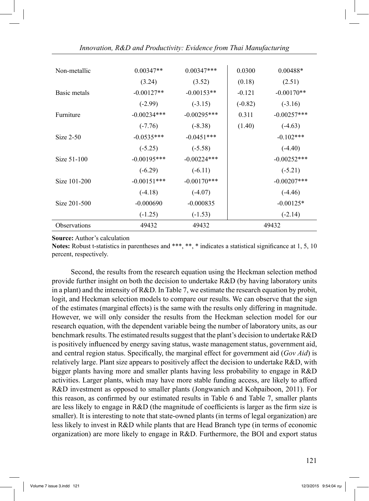| Non-metallic | $0.00347**$   | $0.00347***$  | 0.0300    | $0.00488*$     |
|--------------|---------------|---------------|-----------|----------------|
|              | (3.24)        | (3.52)        | (0.18)    | (2.51)         |
| Basic metals | $-0.00127**$  | $-0.00153**$  | $-0.121$  | $-0.00170**$   |
|              | $(-2.99)$     | $(-3.15)$     | $(-0.82)$ | $(-3.16)$      |
| Furniture    | $-0.00234***$ | $-0.00295***$ | 0.311     | $-0.00257***$  |
|              | $(-7.76)$     | $(-8.38)$     | (1.40)    | $(-4.63)$      |
| Size $2-50$  | $-0.0535***$  | $-0.0451***$  |           | $-0.102***$    |
|              | $(-5.25)$     | $(-5.58)$     |           | $(-4.40)$      |
| Size 51-100  | $-0.00195***$ | $-0.00224***$ |           | $-0.00252***$  |
|              | $(-6.29)$     | $(-6.11)$     |           | $(-5.21)$      |
| Size 101-200 | $-0.00151***$ | $-0.00170***$ |           | $-0.00207$ *** |
|              | $(-4.18)$     | $(-4.07)$     |           | $(-4.46)$      |
| Size 201-500 | $-0.000690$   | $-0.000835$   |           | $-0.00125*$    |
|              | $(-1.25)$     | $(-1.53)$     |           | $(-2.14)$      |
| Observations | 49432         | 49432         |           | 49432          |

#### **Source:** Author's calculation

**Notes:** Robust t-statistics in parentheses and \*\*\*, \*\*, \* indicates a statistical significance at 1, 5, 10 percent, respectively.

 Second, the results from the research equation using the Heckman selection method provide further insight on both the decision to undertake R&D (by having laboratory units in a plant) and the intensity of  $R&D$ . In Table 7, we estimate the research equation by probit, logit, and Heckman selection models to compare our results. We can observe that the sign of the estimates (marginal effects) is the same with the results only differing in magnitude. However, we will only consider the results from the Heckman selection model for our research equation, with the dependent variable being the number of laboratory units, as our benchmark results. The estimated results suggest that the plant's decision to undertake R&D is positively influenced by energy saving status, waste management status, government aid, and central region status. Specifically, the marginal effect for government aid (*Gov Aid*) is relatively large. Plant size appears to positively affect the decision to undertake R&D, with bigger plants having more and smaller plants having less probability to engage in R&D activities. Larger plants, which may have more stable funding access, are likely to afford R&D investment as opposed to smaller plants (Jongwanich and Kohpaiboon, 2011). For this reason, as confirmed by our estimated results in Table 6 and Table 7, smaller plants are less likely to engage in R&D (the magnitude of coefficients is larger as the firm size is smaller). It is interesting to note that state-owned plants (in terms of legal organization) are less likely to invest in R&D while plants that are Head Branch type (in terms of economic organization) are more likely to engage in R&D. Furthermore, the BOI and export status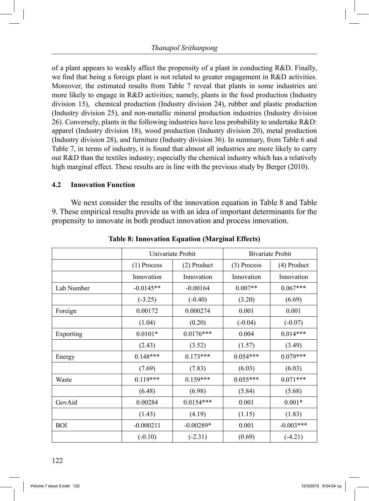of a plant appears to weakly affect the propensity of a plant in conducting  $R&D$ . Finally, we find that being a foreign plant is not related to greater engagement in R&D activities. Moreover, the estimated results from Table 7 reveal that plants in some industries are more likely to engage in R&D activities; namely, plants in the food production (Industry division 15), chemical production (Industry division 24), rubber and plastic production (Industry division 25), and non-metallic mineral production industries (Industry division 26). Conversely, plants in the following industries have less probability to undertake R&D: apparel (Industry division 18), wood production (Industry division 20), metal production (Industry division 28), and furniture (Industry division 36). In summary, from Table 6 and Table 7, in terms of industry, it is found that almost all industries are more likely to carry out R&D than the textiles industry; especially the chemical industry which has a relatively high marginal effect. These results are in line with the previous study by Berger (2010).

## **4.2 Innovation Function**

 We next consider the results of the innovation equation in Table 8 and Table 9. These empirical results provide us with an idea of important determinants for the propensity to innovate in both product innovation and process innovation.

|            |               | Univariate Probit |               | <b>Bivariate Probit</b> |
|------------|---------------|-------------------|---------------|-------------------------|
|            | $(1)$ Process | $(2)$ Product     | $(3)$ Process | (4) Product             |
|            | Innovation    | Innovation        | Innovation    | Innovation              |
| Lab Number | $-0.0145**$   | $-0.00164$        | $0.007**$     | $0.067***$              |
|            | $(-3.25)$     | $(-0.40)$         | (3.20)        | (6.69)                  |
| Foreign    | 0.00172       | 0.000274          | 0.001         | 0.001                   |
|            | (1.04)        | (0.20)            | $(-0.04)$     | $(-0.07)$               |
| Exporting  | $0.0101*$     | $0.0176***$       | 0.004         | $0.014***$              |
|            | (2.43)        | (3.52)            | (1.57)        | (3.49)                  |
| Energy     | $0.148***$    | $0.173***$        | $0.054***$    | $0.079***$              |
|            | (7.69)        | (7.83)            | (6.03)        | (6.03)                  |
| Waste      | $0.119***$    | $0.159***$        | $0.055***$    | $0.071***$              |
|            | (6.48)        | (6.98)            | (5.84)        | (5.68)                  |
| GovAid     | 0.00284       | $0.0154***$       | 0.001         | $0.001*$                |
|            | (1.43)        | (4.19)            | (1.15)        | (1.83)                  |
| <b>BOI</b> | $-0.000211$   | $-0.00289*$       | 0.001         | $-0.003***$             |
|            | $(-0.10)$     | $(-2.31)$         | (0.69)        | $(-4.21)$               |

**Table 8: Innovation Equation (Marginal Effects)**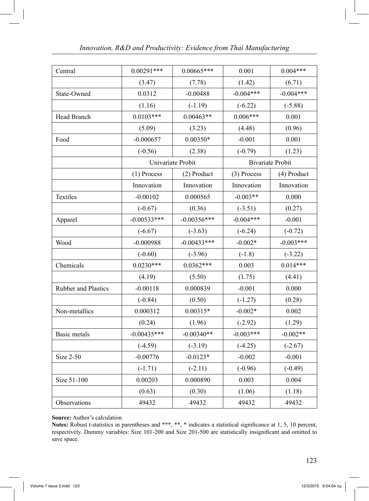| Central             | $0.00291***$  | $0.00665***$      | 0.001       | $0.004***$              |
|---------------------|---------------|-------------------|-------------|-------------------------|
|                     |               |                   |             |                         |
|                     | (3.47)        | (7.78)            | (1.42)      | (6.71)                  |
| State-Owned         | 0.0312        | $-0.00488$        | $-0.004***$ | $-0.004***$             |
|                     | (1.16)        | $(-1.19)$         | $(-6.22)$   | $(-5.88)$               |
| Head Branch         | $0.0103***$   | $0.00463**$       | $0.006***$  | 0.001                   |
|                     | (5.09)        | (3.23)            | (4.48)      | (0.96)                  |
| Food                | $-0.000657$   | $0.00350*$        | $-0.001$    | 0.001                   |
|                     | $(-0.56)$     | (2.38)            | $(-0.79)$   | (1.23)                  |
|                     |               | Univariate Probit |             | <b>Bivariate Probit</b> |
|                     | $(1)$ Process | (2) Product       | (3) Process | (4) Product             |
|                     | Innovation    | Innovation        | Innovation  | Innovation              |
| Textiles            | $-0.00102$    | 0.000565          | $-0.003**$  | 0.000                   |
|                     | $(-0.67)$     | (0.36)            | $(-3.51)$   | (0.27)                  |
| Apparel             | $-0.00533***$ | $-0.00356***$     | $-0.004***$ | $-0.001$                |
|                     | $(-6.67)$     | $(-3.63)$         | $(-6.24)$   | $(-0.72)$               |
| Wood                | $-0.000988$   | $-0.00433***$     | $-0.002*$   | $-0.003***$             |
|                     | $(-0.60)$     | $(-3.96)$         | $(-1.8)$    | $(-3.22)$               |
| Chemicals           | $0.0230***$   | $0.0362***$       | 0.003       | $0.014***$              |
|                     | (4.19)        | (5.50)            | (1.75)      | (4.41)                  |
| Rubber and Plastics | $-0.00118$    | 0.000839          | $-0.001$    | 0.000                   |
|                     | $(-0.84)$     | (0.50)            | $(-1.27)$   | (0.28)                  |
| Non-metallics       | 0.000312      | $0.00315*$        | $-0.002*$   | 0.002                   |
|                     | (0.24)        | (1.96)            | $(-2.92)$   | (1.29)                  |
| Basic metals        | $-0.00435***$ | $-0.00340**$      | $-0.003***$ | $-0.002**$              |
|                     | $(-4.59)$     | $(-3.19)$         | $(-4.25)$   | $(-2.67)$               |
| <b>Size 2-50</b>    | $-0.00776$    | $-0.0123*$        | $-0.002$    | $-0.001$                |
|                     | $(-1.71)$     | $(-2.11)$         | $(-0.96)$   | $(-0.49)$               |
| Size 51-100         | 0.00203       | 0.000890          | 0.003       | 0.004                   |
|                     | (0.63)        | (0.30)            | (1.06)      | (1.18)                  |
| Observations        | 49432         | 49432             | 49432       | 49432                   |

**Source:** Author's calculation

**Notes:** Robust t-statistics in parentheses and \*\*\*, \*\*, \* indicates a statistical significance at 1, 5, 10 percent, respectively. Dummy variables: Size 101-200 and Size 201-500 are statistically insignificant and omitted to save space.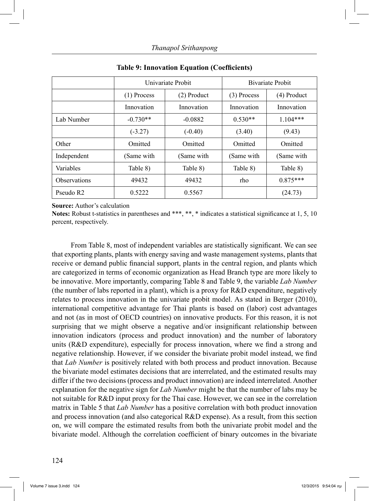|                       |               | Univariate Probit |             | Bivariate Probit |
|-----------------------|---------------|-------------------|-------------|------------------|
|                       | $(1)$ Process | $(2)$ Product     | (3) Process | $(4)$ Product    |
|                       | Innovation    | Innovation        | Innovation  | Innovation       |
| Lab Number            | $-0.730**$    | $-0.0882$         | $0.530**$   | $1.104***$       |
|                       | $(-3.27)$     | $(-0.40)$         | (3.40)      | (9.43)           |
| Other                 | Omitted       | Omitted           | Omitted     | Omitted          |
| Independent           | (Same with    | (Same with        | (Same with  | (Same with       |
| Variables             | Table 8)      | Table 8)          | Table 8)    | Table 8)         |
| <b>Observations</b>   | 49432         | 49432             | rho         | $0.875***$       |
| Pseudo R <sub>2</sub> | 0.5222        | 0.5567            |             | (24.73)          |

**Table 9: Innovation Equation (Coefficients)**

**Source:** Author's calculation

Notes: Robust t-statistics in parentheses and \*\*\*, \*\*, \* indicates a statistical significance at 1, 5, 10 percent, respectively.

 From Table 8, most of independent variables are statistically significant. We can see that exporting plants, plants with energy saving and waste management systems, plants that receive or demand public financial support, plants in the central region, and plants which are categorized in terms of economic organization as Head Branch type are more likely to be innovative. More importantly, comparing Table 8 and Table 9, the variable *Lab Number* (the number of labs reported in a plant), which is a proxy for R&D expenditure, negatively relates to process innovation in the univariate probit model. As stated in Berger (2010), international competitive advantage for Thai plants is based on (labor) cost advantages and not (as in most of OECD countries) on innovative products. For this reason, it is not surprising that we might observe a negative and/or insignificant relationship between innovation indicators (process and product innovation) and the number of laboratory units (R&D expenditure), especially for process innovation, where we find a strong and negative relationship. However, if we consider the bivariate probit model instead, we find that *Lab Number* is positively related with both process and product innovation. Because the bivariate model estimates decisions that are interrelated, and the estimated results may differ if the two decisions (process and product innovation) are indeed interrelated. Another explanation for the negative sign for *Lab Number* might be that the number of labs may be not suitable for R&D input proxy for the Thai case. However, we can see in the correlation matrix in Table 5 that *Lab Number* has a positive correlation with both product innovation and process innovation (and also categorical R&D expense). As a result, from this section on, we will compare the estimated results from both the univariate probit model and the bivariate model. Although the correlation coefficient of binary outcomes in the bivariate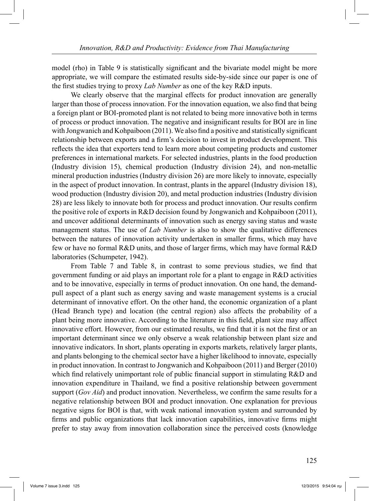model (rho) in Table 9 is statistically significant and the bivariate model might be more appropriate, we will compare the estimated results side-by-side since our paper is one of the first studies trying to proxy *Lab Number* as one of the key R&D inputs.

 We clearly observe that the marginal effects for product innovation are generally larger than those of process innovation. For the innovation equation, we also find that being a foreign plant or BOI-promoted plant is not related to being more innovative both in terms of process or product innovation. The negative and insignificant results for BOI are in line with Jongwanich and Kohpaiboon (2011). We also find a positive and statistically significant relationship between exports and a firm's decision to invest in product development. This reflects the idea that exporters tend to learn more about competing products and customer preferences in international markets. For selected industries, plants in the food production (Industry division 15), chemical production (Industry division 24), and non-metallic mineral production industries (Industry division 26) are more likely to innovate, especially in the aspect of product innovation. In contrast, plants in the apparel (Industry division 18), wood production (Industry division 20), and metal production industries (Industry division 28) are less likely to innovate both for process and product innovation. Our results confirm the positive role of exports in R&D decision found by Jongwanich and Kohpaiboon (2011), and uncover additional determinants of innovation such as energy saving status and waste management status. The use of *Lab Number* is also to show the qualitative differences between the natures of innovation activity undertaken in smaller firms, which may have few or have no formal R&D units, and those of larger firms, which may have formal R&D laboratories (Schumpeter, 1942).

 From Table 7 and Table 8, in contrast to some previous studies, we find that government funding or aid plays an important role for a plant to engage in R&D activities and to be innovative, especially in terms of product innovation. On one hand, the demandpull aspect of a plant such as energy saving and waste management systems is a crucial determinant of innovative effort. On the other hand, the economic organization of a plant (Head Branch type) and location (the central region) also affects the probability of a plant being more innovative. According to the literature in this field, plant size may affect innovative effort. However, from our estimated results, we find that it is not the first or an important determinant since we only observe a weak relationship between plant size and innovative indicators. In short, plants operating in exports markets, relatively larger plants, and plants belonging to the chemical sector have a higher likelihood to innovate, especially in product innovation. In contrast to Jongwanich and Kohpaiboon (2011) and Berger (2010) which find relatively unimportant role of public financial support in stimulating R&D and innovation expenditure in Thailand, we find a positive relationship between government support (*Gov Aid*) and product innovation. Nevertheless, we confirm the same results for a negative relationship between BOI and product innovation. One explanation for previous negative signs for BOI is that, with weak national innovation system and surrounded by firms and public organizations that lack innovation capabilities, innovative firms might prefer to stay away from innovation collaboration since the perceived costs (knowledge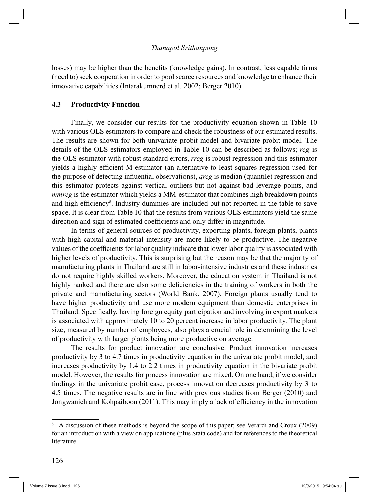losses) may be higher than the benefits (knowledge gains). In contrast, less capable firms (need to) seek cooperation in order to pool scarce resources and knowledge to enhance their innovative capabilities (Intarakumnerd et al. 2002; Berger 2010).

# **4.3 Productivity Function**

 Finally, we consider our results for the productivity equation shown in Table 10 with various OLS estimators to compare and check the robustness of our estimated results. The results are shown for both univariate probit model and bivariate probit model. The details of the OLS estimators employed in Table 10 can be described as follows; *reg* is the OLS estimator with robust standard errors, *rreg* is robust regression and this estimator yields a highly efficient M-estimator (an alternative to least squares regression used for the purpose of detecting influential observations), *qreg* is median (quantile) regression and this estimator protects against vertical outliers but not against bad leverage points, and *mmreg* is the estimator which yields a MM-estimator that combines high breakdown points and high efficiency<sup>8</sup>. Industry dummies are included but not reported in the table to save space. It is clear from Table 10 that the results from various OLS estimators yield the same direction and sign of estimated coefficients and only differ in magnitude.

 In terms of general sources of productivity, exporting plants, foreign plants, plants with high capital and material intensity are more likely to be productive. The negative values of the coefficients for labor quality indicate that lower labor quality is associated with higher levels of productivity. This is surprising but the reason may be that the majority of manufacturing plants in Thailand are still in labor-intensive industries and these industries do not require highly skilled workers. Moreover, the education system in Thailand is not highly ranked and there are also some deficiencies in the training of workers in both the private and manufacturing sectors (World Bank, 2007). Foreign plants usually tend to have higher productivity and use more modern equipment than domestic enterprises in Thailand. Specifically, having foreign equity participation and involving in export markets is associated with approximately 10 to 20 percent increase in labor productivity. The plant size, measured by number of employees, also plays a crucial role in determining the level of productivity with larger plants being more productive on average.

 The results for product innovation are conclusive. Product innovation increases productivity by 3 to 4.7 times in productivity equation in the univariate probit model, and increases productivity by 1.4 to 2.2 times in productivity equation in the bivariate probit model. However, the results for process innovation are mixed. On one hand, if we consider findings in the univariate probit case, process innovation decreases productivity by 3 to 4.5 times. The negative results are in line with previous studies from Berger (2010) and Jongwanich and Kohpaiboon (2011). This may imply a lack of efficiency in the innovation

<sup>8</sup> A discussion of these methods is beyond the scope of this paper; see Verardi and Croux (2009) for an introduction with a view on applications (plus Stata code) and for references to the theoretical literature.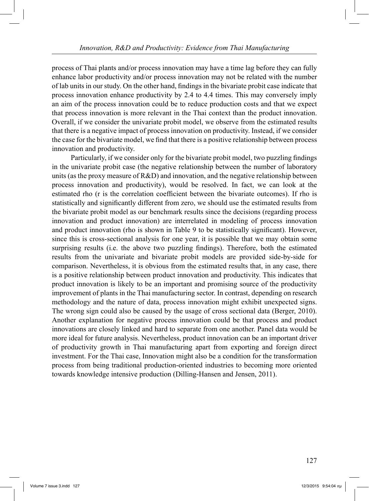process of Thai plants and/or process innovation may have a time lag before they can fully enhance labor productivity and/or process innovation may not be related with the number of lab units in our study. On the other hand, findings in the bivariate probit case indicate that process innovation enhance productivity by 2.4 to 4.4 times. This may conversely imply an aim of the process innovation could be to reduce production costs and that we expect that process innovation is more relevant in the Thai context than the product innovation. Overall, if we consider the univariate probit model, we observe from the estimated results that there is a negative impact of process innovation on productivity. Instead, if we consider the case for the bivariate model, we find that there is a positive relationship between process innovation and productivity.

 Particularly, if we consider only for the bivariate probit model, two puzzling findings in the univariate probit case (the negative relationship between the number of laboratory units (as the proxy measure of R&D) and innovation, and the negative relationship between process innovation and productivity), would be resolved. In fact, we can look at the estimated rho (r is the correlation coefficient between the bivariate outcomes). If rho is statistically and significantly different from zero, we should use the estimated results from the bivariate probit model as our benchmark results since the decisions (regarding process innovation and product innovation) are interrelated in modeling of process innovation and product innovation (rho is shown in Table 9 to be statistically significant). However, since this is cross-sectional analysis for one year, it is possible that we may obtain some surprising results (i.e. the above two puzzling findings). Therefore, both the estimated results from the univariate and bivariate probit models are provided side-by-side for comparison. Nevertheless, it is obvious from the estimated results that, in any case, there is a positive relationship between product innovation and productivity. This indicates that product innovation is likely to be an important and promising source of the productivity improvement of plants in the Thai manufacturing sector. In contrast, depending on research methodology and the nature of data, process innovation might exhibit unexpected signs. The wrong sign could also be caused by the usage of cross sectional data (Berger, 2010). Another explanation for negative process innovation could be that process and product innovations are closely linked and hard to separate from one another. Panel data would be more ideal for future analysis. Nevertheless, product innovation can be an important driver of productivity growth in Thai manufacturing apart from exporting and foreign direct investment. For the Thai case, Innovation might also be a condition for the transformation process from being traditional production-oriented industries to becoming more oriented towards knowledge intensive production (Dilling-Hansen and Jensen, 2011).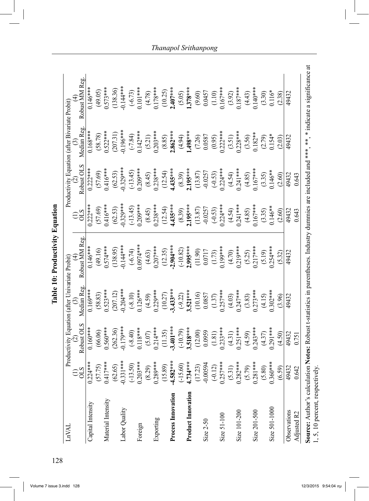| LnVAL                                                                                                         |                                       |                                                                          | Productivity Equation (after Univariate Probit)                           |                                                                                  |                                                                           | Productivity Equation (after Bivariate Probit)                                      |                                                                                                 |                                                                                   |  |
|---------------------------------------------------------------------------------------------------------------|---------------------------------------|--------------------------------------------------------------------------|---------------------------------------------------------------------------|----------------------------------------------------------------------------------|---------------------------------------------------------------------------|-------------------------------------------------------------------------------------|-------------------------------------------------------------------------------------------------|-----------------------------------------------------------------------------------|--|
|                                                                                                               | $\widehat{\Xi}_{\text{S}}^{\text{S}}$ | Robust OLS                                                               | Median Reg                                                                | Robust MM Reg                                                                    | $\Xi$ S                                                                   | Robust OLS                                                                          | Median Reg                                                                                      | Robust MM Reg                                                                     |  |
| Capital Intensity                                                                                             | $0.224***$                            | $0.160***$                                                               | $0.169***$                                                                | $0.146***$                                                                       | $0.222**$                                                                 | $0.222***$                                                                          | $0.168***$                                                                                      | $0.146***$                                                                        |  |
|                                                                                                               | (57.75)                               | (66.06)                                                                  |                                                                           | (49.16)                                                                          |                                                                           |                                                                                     |                                                                                                 | (49.05)                                                                           |  |
| Material Intensity                                                                                            | $0.417***$                            | $0.560***$                                                               | $(58.83)$<br>$0.523***$                                                   | $0.574***$                                                                       | $(57.69)$<br>0.416***                                                     | $(57.69)$<br>0.416***                                                               | $(58.78)$<br>0.522***                                                                           | $0.573***$                                                                        |  |
|                                                                                                               | (62.65)                               | (262.36)                                                                 | (207.12)                                                                  | (138.95)                                                                         |                                                                           | (62.53)                                                                             |                                                                                                 |                                                                                   |  |
| Labor Quality                                                                                                 | $-0.331***$                           | $0.179***$                                                               | $-0.204***$                                                               | $0.144***$                                                                       |                                                                           |                                                                                     | $(207.31)$<br>$0.196***$                                                                        | $(138.36)$<br>0.144***                                                            |  |
|                                                                                                               | $(-13.50)$                            | $(-8.40)$<br>0.118***                                                    | $(-8.10)$<br>0.126***                                                     | $(-6.74)$<br>0.0974***                                                           | $(62.53)$<br>0.329***<br>(-13.45)<br>0.209***                             | $0.329***$<br>$(-13.45)$<br>$0.209***$                                              | $(-7.84)$<br>0.142***                                                                           |                                                                                   |  |
| Foreign                                                                                                       | $0.203***$                            |                                                                          |                                                                           |                                                                                  |                                                                           |                                                                                     |                                                                                                 | $(-6.73)$<br>0.101***                                                             |  |
|                                                                                                               | (8.29)                                |                                                                          | $(4.59)$<br>0.229***                                                      |                                                                                  |                                                                           | $(8.45)$<br>0.238***                                                                | $(5.21)$<br>0.203***                                                                            |                                                                                   |  |
| Exporting                                                                                                     | $0.289***$                            |                                                                          |                                                                           |                                                                                  |                                                                           |                                                                                     |                                                                                                 | $(4.78)$<br>0.178***                                                              |  |
|                                                                                                               | (15.89)                               | $(5.07)$<br>0.214***<br>(11.35)<br><b>3.401</b> ***                      | $(10.27)$<br>-3.433***                                                    | $(4.63)$<br>0.207***<br>(12.35)<br><b>-2.904</b> ***                             | $(8.45)$<br>0.238***<br>(12.54)<br><b>4.435</b> ***                       | $(12.54)$<br>1.435***                                                               | $(8.85)$<br>$(4.94)$<br>$(4.94)$<br>$(1.498***$<br>$(7.26)$<br>$(0.95)$<br>$(0.95)$<br>$(0.95)$ | $(10.25)$<br>2.407***                                                             |  |
| Process Innovation                                                                                            | $-4.582***$                           |                                                                          |                                                                           |                                                                                  |                                                                           |                                                                                     |                                                                                                 |                                                                                   |  |
|                                                                                                               | $(-15.60)$                            |                                                                          |                                                                           |                                                                                  |                                                                           |                                                                                     |                                                                                                 |                                                                                   |  |
| <b>Product Innovation</b>                                                                                     | $4.734***$                            |                                                                          |                                                                           |                                                                                  |                                                                           |                                                                                     |                                                                                                 |                                                                                   |  |
|                                                                                                               | (17.23)                               | $(10.79)$<br>$3.518***$<br>$(12.00)$<br>$0.0959$<br>$(1.81)$<br>$(1.81)$ | $(3.22)$<br>$3.521***$<br>$(10.16)$<br>$(0.0857)$<br>$(1.37)$<br>$(1.37)$ | $(10.82)$<br><b>2.995</b> ***<br>$(11.90)$<br>$(0.0717)$<br>$(1.73)$<br>$(1.73)$ | $(8.39)$<br><b>1.195</b> ***<br>(13.87)<br>(-0.0257<br>(-0.53)<br>(-0.53) | $(8.39)$<br><b>2.195</b> ***<br>$(13.87)$<br>$-0.0257$<br>$(-0.53)$<br>$-0.524$ *** |                                                                                                 | $(5.05)$<br>$(378***$<br>$(9.60)$<br>$(0.10)$<br>$(1.10)$<br>$(1.10)$<br>$(1.10)$ |  |
| Size 2-50                                                                                                     | $-0.00594$                            |                                                                          |                                                                           |                                                                                  |                                                                           |                                                                                     |                                                                                                 |                                                                                   |  |
|                                                                                                               | $(-0.12)$                             |                                                                          |                                                                           |                                                                                  |                                                                           |                                                                                     |                                                                                                 |                                                                                   |  |
| Size 51-100                                                                                                   | $0.257***$                            |                                                                          |                                                                           |                                                                                  |                                                                           |                                                                                     |                                                                                                 |                                                                                   |  |
|                                                                                                               | (5.31)                                | $(4.31)$<br>$0.251***$                                                   | $(4.03)$<br>0.247***                                                      | $(4.70)$<br>.219***                                                              | $(4.54)$<br>$(241***$<br>$(4.85)$<br>$(167***$<br>$(3.35)$<br>$(3.35)$    | $(4.54)$<br>0.241***                                                                | $(3.51)$<br>$0.228***$                                                                          | $(3.92)$<br>0.187***                                                              |  |
| Size 101-200                                                                                                  | $0.282***$                            |                                                                          |                                                                           |                                                                                  |                                                                           |                                                                                     |                                                                                                 |                                                                                   |  |
|                                                                                                               | (5.79)                                | $(4.59)$<br>0.243***                                                     | $(3.83)$<br>$0.273***$                                                    | $(5.25)$<br>0.217***                                                             |                                                                           | $(4.85)$<br>0.167***                                                                |                                                                                                 | $(4.43)$<br>0.140***                                                              |  |
| Size 201-500                                                                                                  | $0.281***$                            |                                                                          |                                                                           |                                                                                  |                                                                           |                                                                                     |                                                                                                 |                                                                                   |  |
|                                                                                                               | (5.80)                                | (4.37)                                                                   | (4.15)                                                                    | (5.19)                                                                           |                                                                           | (3.35)                                                                              | $(3.56)$<br>$0.182**$<br>$(2.79)$<br>$0.154*$                                                   | $(3.30)$<br>$0.116*$                                                              |  |
| Size 501-1000                                                                                                 | $0.360***$                            | $0.291***$                                                               | $0.302***$                                                                | $.254***$                                                                        |                                                                           | $0.146**$                                                                           |                                                                                                 |                                                                                   |  |
|                                                                                                               | (6.59)                                | (4.50)                                                                   | (3.96)                                                                    | (5.32)                                                                           | (2.60)                                                                    | (2.60)                                                                              | (2.03)                                                                                          | (2.38)                                                                            |  |
| Observations                                                                                                  | 49432                                 | 49432                                                                    | 49432                                                                     | 49432                                                                            | 49432                                                                     | 49432                                                                               | 19432                                                                                           | 49432                                                                             |  |
| Adjusted R2                                                                                                   | 0.642                                 | 0.751                                                                    |                                                                           |                                                                                  | 0.643                                                                     | 0.643                                                                               |                                                                                                 |                                                                                   |  |
| Source: Author's calculation Notes: Robust t-statistics in parentheses. Industry dummies are included and *** |                                       |                                                                          |                                                                           |                                                                                  |                                                                           |                                                                                     | $*$                                                                                             | * indicate a significance at                                                      |  |
| 1, 5, 10 percent, respectively.                                                                               |                                       |                                                                          |                                                                           |                                                                                  |                                                                           |                                                                                     |                                                                                                 |                                                                                   |  |

Table 10: Productivity Equation **Table 10: Productivity Equation**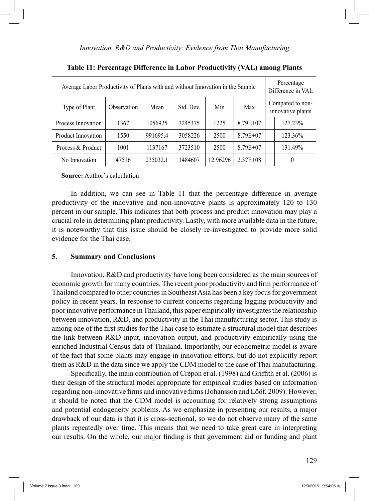| Average Labor Productivity of Plants with and without Innovation in the Sample |                    |          |           |          |              |                                       | Percentage<br>Difference in VAL |  |
|--------------------------------------------------------------------------------|--------------------|----------|-----------|----------|--------------|---------------------------------------|---------------------------------|--|
| Type of Plant                                                                  | <b>Observation</b> | Mean     | Std. Dev. | Min      | Max          | Compared to non-<br>innovative plants |                                 |  |
| Process Innovation                                                             | 1367               | 1056925  | 3245375   | 1225     | $8.79E + 07$ |                                       | 127.23%                         |  |
| Product Innovation                                                             | 1550               | 991695.4 | 3058226   | 2500     | $8.79E + 07$ |                                       | 123.36%                         |  |
| Process & Product                                                              | 1001               | 1137167  | 3723510   | 2500     | $8.79E + 07$ |                                       | 131.49%                         |  |
| No Innovation                                                                  | 47516              | 235032.1 | 1484607   | 12.96296 | $2.37E + 08$ |                                       | $\theta$                        |  |

**Table 11: Percentage Difference in Labor Productivity (VAL) among Plants**

#### **Source:** Author's calculation

 In addition, we can see in Table 11 that the percentage difference in average productivity of the innovative and non-innovative plants is approximately 120 to 130 percent in our sample. This indicates that both process and product innovation may play a crucial role in determining plant productivity. Lastly, with more available data in the future, it is noteworthy that this issue should be closely re-investigated to provide more solid evidence for the Thai case.

## **5. Summary and Conclusions**

 Innovation, R&D and productivity have long been considered as the main sources of economic growth for many countries. The recent poor productivity and firm performance of Thailand compared to other countries in Southeast Asia has been a key focus for government policy in recent years. In response to current concerns regarding lagging productivity and poor innovative performance in Thailand, this paper empirically investigates the relationship between innovation, R&D, and productivity in the Thai manufacturing sector. This study is among one of the first studies for the Thai case to estimate a structural model that describes the link between R&D input, innovation output, and productivity empirically using the enriched Industrial Census data of Thailand. Importantly, our econometric model is aware of the fact that some plants may engage in innovation efforts, but do not explicitly report them as R&D in the data since we apply the CDM model to the case of Thai manufacturing.

 Specifically, the main contribution of Crépon et al. (1998) and Griffith et al. (2006) is their design of the structural model appropriate for empirical studies based on information regarding non-innovative firms and innovative firms (Johansson and Lööf, 2009). However, it should be noted that the CDM model is accounting for relatively strong assumptions and potential endogeneity problems. As we emphasize in presenting our results, a major drawback of our data is that it is cross-sectional, so we do not observe many of the same plants repeatedly over time. This means that we need to take great care in interpreting our results. On the whole, our major finding is that government aid or funding and plant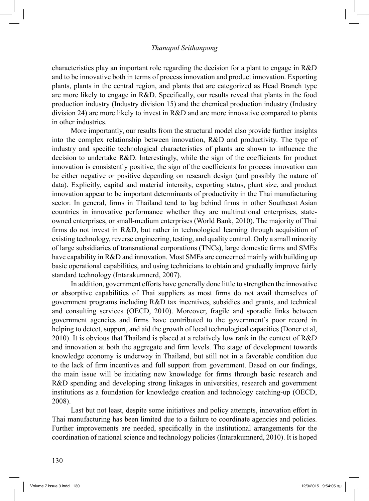characteristics play an important role regarding the decision for a plant to engage in R&D and to be innovative both in terms of process innovation and product innovation. Exporting plants, plants in the central region, and plants that are categorized as Head Branch type are more likely to engage in R&D. Specifically, our results reveal that plants in the food production industry (Industry division 15) and the chemical production industry (Industry division 24) are more likely to invest in R&D and are more innovative compared to plants in other industries.

 More importantly, our results from the structural model also provide further insights into the complex relationship between innovation, R&D and productivity. The type of industry and specific technological characteristics of plants are shown to influence the decision to undertake R&D. Interestingly, while the sign of the coefficients for product innovation is consistently positive, the sign of the coefficients for process innovation can be either negative or positive depending on research design (and possibly the nature of data). Explicitly, capital and material intensity, exporting status, plant size, and product innovation appear to be important determinants of productivity in the Thai manufacturing sector. In general, firms in Thailand tend to lag behind firms in other Southeast Asian countries in innovative performance whether they are multinational enterprises, stateowned enterprises, or small-medium enterprises (World Bank, 2010). The majority of Thai firms do not invest in R&D, but rather in technological learning through acquisition of existing technology, reverse engineering, testing, and quality control. Only a small minority of large subsidiaries of transnational corporations (TNCs), large domestic firms and SMEs have capability in R&D and innovation. Most SMEs are concerned mainly with building up basic operational capabilities, and using technicians to obtain and gradually improve fairly standard technology (Intarakumnerd, 2007).

 In addition, government efforts have generally done little to strengthen the innovative or absorptive capabilities of Thai suppliers as most firms do not avail themselves of government programs including R&D tax incentives, subsidies and grants, and technical and consulting services (OECD, 2010). Moreover, fragile and sporadic links between government agencies and firms have contributed to the government's poor record in helping to detect, support, and aid the growth of local technological capacities (Doner et al, 2010). It is obvious that Thailand is placed at a relatively low rank in the context of R&D and innovation at both the aggregate and firm levels. The stage of development towards knowledge economy is underway in Thailand, but still not in a favorable condition due to the lack of firm incentives and full support from government. Based on our findings, the main issue will be initiating new knowledge for firms through basic research and R&D spending and developing strong linkages in universities, research and government institutions as a foundation for knowledge creation and technology catching-up (OECD, 2008).

 Last but not least, despite some initiatives and policy attempts, innovation effort in Thai manufacturing has been limited due to a failure to coordinate agencies and policies. Further improvements are needed, specifically in the institutional arrangements for the coordination of national science and technology policies (Intarakumnerd, 2010). It is hoped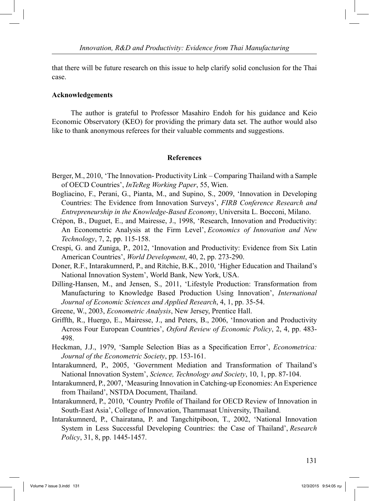that there will be future research on this issue to help clarify solid conclusion for the Thai case.

#### **Acknowledgements**

 The author is grateful to Professor Masahiro Endoh for his guidance and Keio Economic Observatory (KEO) for providing the primary data set. The author would also like to thank anonymous referees for their valuable comments and suggestions.

#### **References**

- Berger, M., 2010, 'The Innovation- Productivity Link Comparing Thailand with a Sample of OECD Countries', *InTeReg Working Paper*, 55, Wien.
- Bogliacino, F., Perani, G., Pianta, M., and Supino, S., 2009, 'Innovation in Developing Countries: The Evidence from Innovation Surveys', *FIRB Conference Research and Entrepreneurship in the Knowledge-Based Economy*, Universita L. Bocconi, Milano.
- Crépon, B., Duguet, E., and Mairesse, J., 1998, 'Research, Innovation and Productivity: An Econometric Analysis at the Firm Level', *Economics of Innovation and New Technology*, 7, 2, pp. 115-158.
- Crespi, G. and Zuniga, P., 2012, 'Innovation and Productivity: Evidence from Six Latin American Countries', *World Development*, 40, 2, pp. 273-290.
- Doner, R.F., Intarakumnerd, P., and Ritchie, B.K., 2010, 'Higher Education and Thailand's National Innovation System', World Bank, New York, USA.
- Dilling-Hansen, M., and Jensen, S., 2011, 'Lifestyle Production: Transformation from Manufacturing to Knowledge Based Production Using Innovation', *International Journal of Economic Sciences and Applied Research*, 4, 1, pp. 35-54.
- Greene, W., 2003, *Econometric Analysis*, New Jersey, Prentice Hall.
- Griffth, R., Huergo, E., Mairesse, J., and Peters, B., 2006, 'Innovation and Productivity Across Four European Countries', *Oxford Review of Economic Policy*, 2, 4, pp. 483- 498.
- Heckman, J.J., 1979, 'Sample Selection Bias as a Specification Error', *Econometrica: Journal of the Econometric Society*, pp. 153-161.
- Intarakumnerd, P., 2005, 'Government Mediation and Transformation of Thailand's National Innovation System', *Science, Technology and Society*, 10, 1, pp. 87-104.
- Intarakumnerd, P., 2007, 'Measuring Innovation in Catching-up Economies: An Experience from Thailand', NSTDA Document, Thailand.
- Intarakumnerd, P., 2010, 'Country Profile of Thailand for OECD Review of Innovation in South-East Asia', College of Innovation, Thammasat University, Thailand.
- Intarakumnerd, P., Chairatana, P. and Tangchitpiboon, T., 2002, 'National Innovation System in Less Successful Developing Countries: the Case of Thailand', *Research Policy*, 31, 8, pp. 1445-1457.